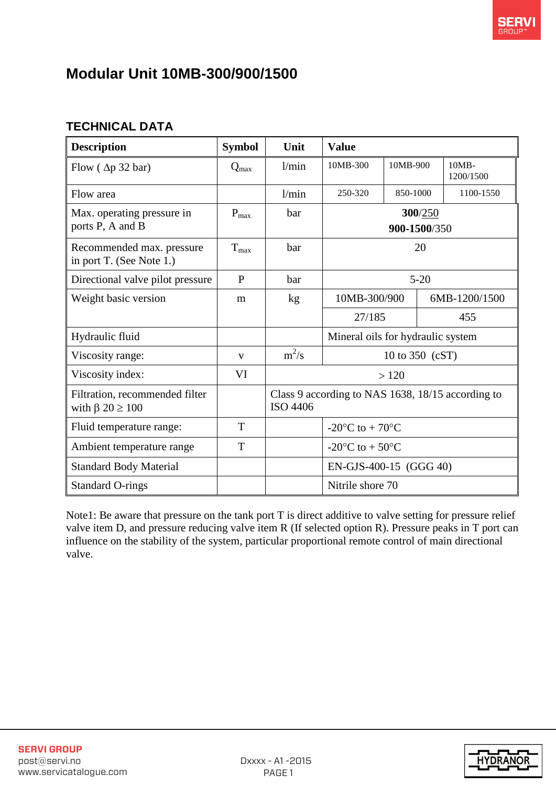## **Modular Unit 10MB-300/900/1500**

## **TECHNICAL DATA**

| <b>Description</b>                                           | <b>Symbol</b> | Unit                                                                 | <b>Value</b>                                  |          |  |                       |
|--------------------------------------------------------------|---------------|----------------------------------------------------------------------|-----------------------------------------------|----------|--|-----------------------|
| Flow $(\Delta p 32 \text{ bar})$                             | $Q_{max}$     | 1/min                                                                | 10MB-300                                      | 10MB-900 |  | $10MB -$<br>1200/1500 |
| Flow area                                                    |               | 1/min                                                                | 250-320                                       | 850-1000 |  | 1100-1550             |
| Max. operating pressure in<br>ports P, A and B               | $P_{max}$     | bar                                                                  | 300/250<br>900-1500/350                       |          |  |                       |
| Recommended max. pressure<br>in port T. (See Note 1.)        | $T_{max}$     | bar                                                                  | 20                                            |          |  |                       |
| Directional valve pilot pressure                             | $\mathbf{P}$  | bar                                                                  | $5 - 20$                                      |          |  |                       |
| Weight basic version                                         | m             | kg                                                                   | 10MB-300/900<br>6MB-1200/1500                 |          |  |                       |
|                                                              |               |                                                                      | 27/185                                        |          |  | 455                   |
| Hydraulic fluid                                              |               |                                                                      | Mineral oils for hydraulic system             |          |  |                       |
| Viscosity range:                                             | $\mathbf{V}$  | $m^2/s$                                                              | 10 to 350 (cST)                               |          |  |                       |
| Viscosity index:                                             | VI            |                                                                      | >120                                          |          |  |                       |
| Filtration, recommended filter<br>with $\beta$ 20 $\geq$ 100 |               | Class 9 according to NAS 1638, 18/15 according to<br><b>ISO 4406</b> |                                               |          |  |                       |
| Fluid temperature range:                                     | T             |                                                                      | -20 $\rm{^{\circ}C}$ to + 70 $\rm{^{\circ}C}$ |          |  |                       |
| Ambient temperature range                                    | T             |                                                                      | -20 $\rm{^{\circ}C}$ to + 50 $\rm{^{\circ}C}$ |          |  |                       |
| <b>Standard Body Material</b>                                |               |                                                                      | EN-GJS-400-15 (GGG 40)                        |          |  |                       |
| <b>Standard O-rings</b>                                      |               |                                                                      | Nitrile shore 70                              |          |  |                       |

Note1: Be aware that pressure on the tank port T is direct additive to valve setting for pressure relief valve item D, and pressure reducing valve item R (If selected option R). Pressure peaks in T port can influence on the stability of the system, particular proportional remote control of main directional valve.

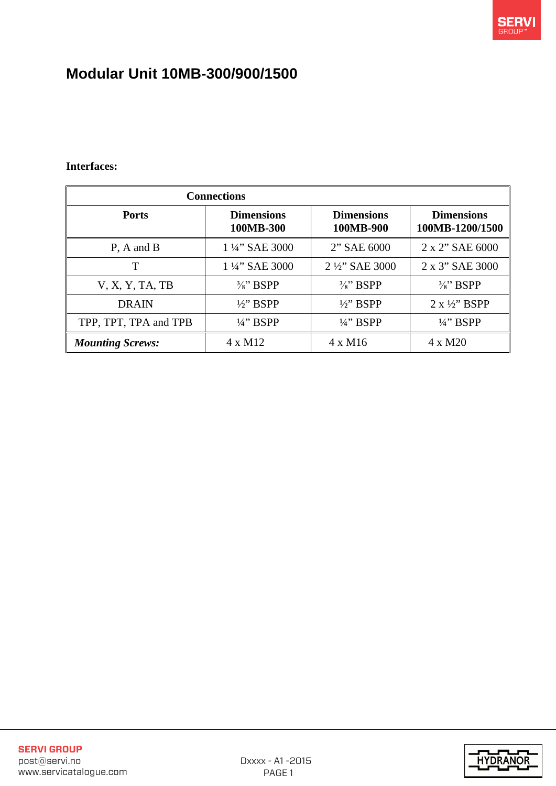

# **Modular Unit 10MB-300/900/1500**

#### **Interfaces:**

| <b>Connections</b>      |                                |                                |                                      |  |  |  |
|-------------------------|--------------------------------|--------------------------------|--------------------------------------|--|--|--|
| <b>Ports</b>            | <b>Dimensions</b><br>100MB-300 | <b>Dimensions</b><br>100MB-900 | <b>Dimensions</b><br>100MB-1200/1500 |  |  |  |
| $P$ , A and B           | 1 ¼" SAE 3000                  | 2" SAE 6000                    | 2 x 2" SAE 6000                      |  |  |  |
| T                       | 1 ¼" SAE 3000                  | 2 1/2" SAE 3000                | 2 x 3" SAE 3000                      |  |  |  |
| V, X, Y, TA, TB         | $\frac{3}{8}$ " BSPP           | $\frac{3}{8}$ " BSPP           | $\frac{3}{8}$ " BSPP                 |  |  |  |
| <b>DRAIN</b>            | $\frac{1}{2}$ BSPP             | $\frac{1}{2}$ BSPP             | $2 x \frac{1}{2}$ BSPP               |  |  |  |
| TPP, TPT, TPA and TPB   | $\frac{1}{4}$ " BSPP           | $\frac{1}{4}$ " BSPP           | $\frac{1}{4}$ " BSPP                 |  |  |  |
| <b>Mounting Screws:</b> | 4 x M12                        | $4 \times M16$                 | 4 x M20                              |  |  |  |